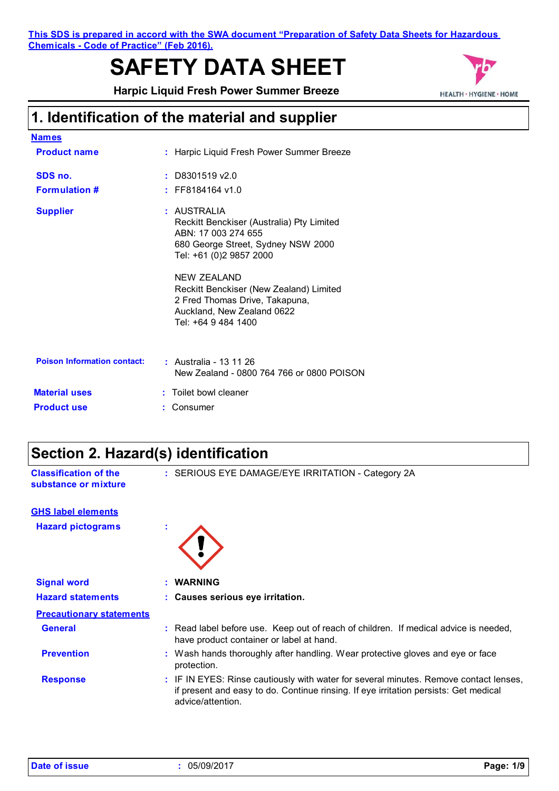**This SDS is prepared in accord with the SWA document "Preparation of Safety Data Sheets for Hazardous Chemicals - Code of Practice" (Feb 2016).**

# **SAFETY DATA SHEET**

**Harpic Liquid Fresh Power Summer Breeze** 



# **1. Identification of the material and supplier**

| <u>Names</u>                       |                                                                                                                                                  |
|------------------------------------|--------------------------------------------------------------------------------------------------------------------------------------------------|
| <b>Product name</b>                | : Harpic Liquid Fresh Power Summer Breeze                                                                                                        |
| SDS no.                            | $:$ D8301519 v2.0                                                                                                                                |
| <b>Formulation #</b>               | $:$ FF8184164 v1.0                                                                                                                               |
| <b>Supplier</b>                    | : AUSTRALIA<br>Reckitt Benckiser (Australia) Pty Limited<br>ABN: 17 003 274 655<br>680 George Street, Sydney NSW 2000<br>Tel: +61 (0)2 9857 2000 |
|                                    | NEW ZEALAND<br>Reckitt Benckiser (New Zealand) Limited<br>2 Fred Thomas Drive, Takapuna,<br>Auckland, New Zealand 0622<br>Tel: +64 9 484 1400    |
| <b>Poison Information contact:</b> | : Australia - 13 11 26<br>New Zealand - 0800 764 766 or 0800 POISON                                                                              |
| <b>Material uses</b>               | : Toilet bowl cleaner                                                                                                                            |
| <b>Product use</b>                 | Consumer                                                                                                                                         |

# **Section 2. Hazard(s) identification**

| <b>Classification of the</b><br>substance or mixture | : SERIOUS EYE DAMAGE/EYE IRRITATION - Category 2A                                                                                                                                                  |
|------------------------------------------------------|----------------------------------------------------------------------------------------------------------------------------------------------------------------------------------------------------|
| <b>GHS label elements</b>                            |                                                                                                                                                                                                    |
| <b>Hazard pictograms</b>                             | ٠                                                                                                                                                                                                  |
| <b>Signal word</b>                                   | : WARNING                                                                                                                                                                                          |
| <b>Hazard statements</b>                             | : Causes serious eye irritation.                                                                                                                                                                   |
| <b>Precautionary statements</b>                      |                                                                                                                                                                                                    |
| <b>General</b>                                       | : Read label before use. Keep out of reach of children. If medical advice is needed,<br>have product container or label at hand.                                                                   |
| <b>Prevention</b>                                    | : Wash hands thoroughly after handling. Wear protective gloves and eye or face<br>protection.                                                                                                      |
| <b>Response</b>                                      | : IF IN EYES: Rinse cautiously with water for several minutes. Remove contact lenses,<br>if present and easy to do. Continue rinsing. If eye irritation persists: Get medical<br>advice/attention. |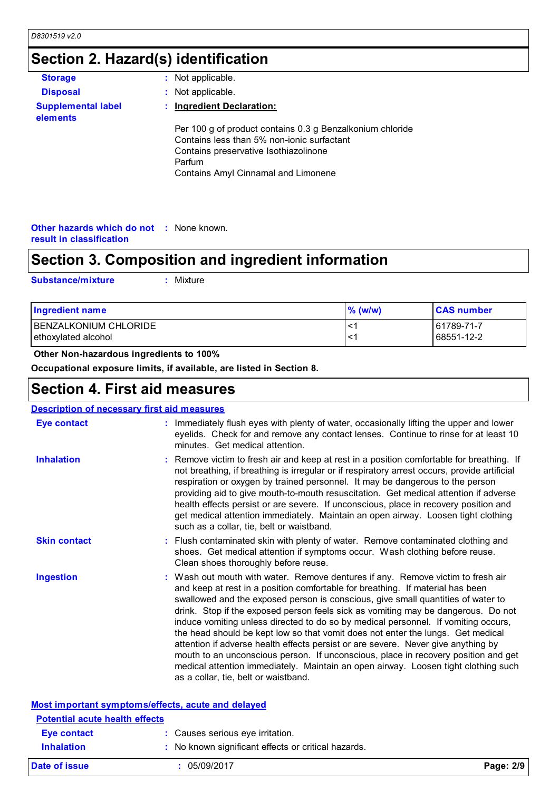## **Section 2. Hazard(s) identification**

| <b>Storage</b>                        | : Not applicable.                                                                                                                                                                                 |
|---------------------------------------|---------------------------------------------------------------------------------------------------------------------------------------------------------------------------------------------------|
| <b>Disposal</b>                       | : Not applicable.                                                                                                                                                                                 |
| <b>Supplemental label</b><br>elements | : Ingredient Declaration:                                                                                                                                                                         |
|                                       | Per 100 g of product contains 0.3 g Benzalkonium chloride<br>Contains less than 5% non-ionic surfactant<br>Contains preservative Isothiazolinone<br>Parfum<br>Contains Amyl Cinnamal and Limonene |

#### **Other hazards which do not :** None known. **result in classification**

# **Section 3. Composition and ingredient information**

**Substance/mixture :**

: Mixture

| <b>Ingredient name</b> | $%$ (w/w) | <b>CAS number</b> |
|------------------------|-----------|-------------------|
| BENZALKONIUM CHLORIDE  | . <-      | 61789-71-7        |
| ethoxylated alcohol    | . <-      | 68551-12-2        |

#### **Other Non-hazardous ingredients to 100%**

**Occupational exposure limits, if available, are listed in Section 8.**

### **Section 4. First aid measures**

| <u>Description of necessary first aid measures</u> |                                                                                                                                                                                                                                                                                                                                                                                                                                                                                                                                                                                                                                                                                                                                                                                                                              |
|----------------------------------------------------|------------------------------------------------------------------------------------------------------------------------------------------------------------------------------------------------------------------------------------------------------------------------------------------------------------------------------------------------------------------------------------------------------------------------------------------------------------------------------------------------------------------------------------------------------------------------------------------------------------------------------------------------------------------------------------------------------------------------------------------------------------------------------------------------------------------------------|
| <b>Eye contact</b>                                 | : Immediately flush eyes with plenty of water, occasionally lifting the upper and lower<br>eyelids. Check for and remove any contact lenses. Continue to rinse for at least 10<br>minutes. Get medical attention.                                                                                                                                                                                                                                                                                                                                                                                                                                                                                                                                                                                                            |
| <b>Inhalation</b>                                  | : Remove victim to fresh air and keep at rest in a position comfortable for breathing. If<br>not breathing, if breathing is irregular or if respiratory arrest occurs, provide artificial<br>respiration or oxygen by trained personnel. It may be dangerous to the person<br>providing aid to give mouth-to-mouth resuscitation. Get medical attention if adverse<br>health effects persist or are severe. If unconscious, place in recovery position and<br>get medical attention immediately. Maintain an open airway. Loosen tight clothing<br>such as a collar, tie, belt or waistband.                                                                                                                                                                                                                                 |
| <b>Skin contact</b>                                | : Flush contaminated skin with plenty of water. Remove contaminated clothing and<br>shoes. Get medical attention if symptoms occur. Wash clothing before reuse.<br>Clean shoes thoroughly before reuse.                                                                                                                                                                                                                                                                                                                                                                                                                                                                                                                                                                                                                      |
| <b>Ingestion</b>                                   | : Wash out mouth with water. Remove dentures if any. Remove victim to fresh air<br>and keep at rest in a position comfortable for breathing. If material has been<br>swallowed and the exposed person is conscious, give small quantities of water to<br>drink. Stop if the exposed person feels sick as vomiting may be dangerous. Do not<br>induce vomiting unless directed to do so by medical personnel. If vomiting occurs,<br>the head should be kept low so that vomit does not enter the lungs. Get medical<br>attention if adverse health effects persist or are severe. Never give anything by<br>mouth to an unconscious person. If unconscious, place in recovery position and get<br>medical attention immediately. Maintain an open airway. Loosen tight clothing such<br>as a collar, tie, belt or waistband. |
|                                                    | Most important symptoms/effects, acute and delayed                                                                                                                                                                                                                                                                                                                                                                                                                                                                                                                                                                                                                                                                                                                                                                           |
| <b>Potential acute health effects</b>              |                                                                                                                                                                                                                                                                                                                                                                                                                                                                                                                                                                                                                                                                                                                                                                                                                              |

| Eye contact       | : Causes serious eye irritation.                    |           |
|-------------------|-----------------------------------------------------|-----------|
| <b>Inhalation</b> | : No known significant effects or critical hazards. |           |
| Date of issue     | 05/09/2017                                          | Page: 2/9 |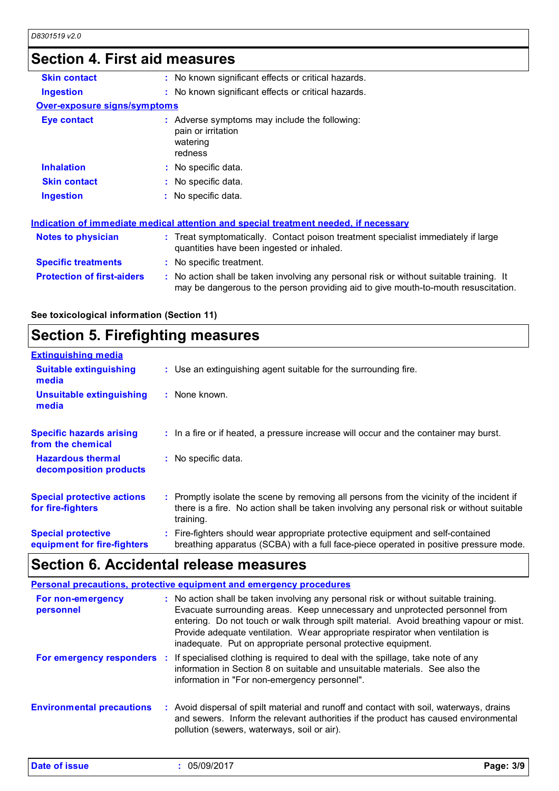### **Section 4. First aid measures**

| <b>Skin contact</b>               | : No known significant effects or critical hazards.                                                                                                                           |
|-----------------------------------|-------------------------------------------------------------------------------------------------------------------------------------------------------------------------------|
| <b>Ingestion</b>                  | : No known significant effects or critical hazards.                                                                                                                           |
| Over-exposure signs/symptoms      |                                                                                                                                                                               |
| <b>Eye contact</b>                | : Adverse symptoms may include the following:<br>pain or irritation<br>watering<br>redness                                                                                    |
| <b>Inhalation</b>                 | : No specific data.                                                                                                                                                           |
| <b>Skin contact</b>               | : No specific data.                                                                                                                                                           |
| Ingestion                         | $:$ No specific data.                                                                                                                                                         |
|                                   | Indication of immediate medical attention and special treatment needed, if necessary                                                                                          |
| <b>Notes to physician</b>         | : Treat symptomatically. Contact poison treatment specialist immediately if large<br>quantities have been ingested or inhaled.                                                |
| <b>Specific treatments</b>        | : No specific treatment.                                                                                                                                                      |
| <b>Protection of first-aiders</b> | : No action shall be taken involving any personal risk or without suitable training. It<br>may be dangerous to the person providing aid to give mouth-to-mouth resuscitation. |
|                                   |                                                                                                                                                                               |

**See toxicological information (Section 11)**

### **Section 5. Firefighting measures**

| <b>Extinguishing media</b>                               |                                                                                                                                                                                                     |
|----------------------------------------------------------|-----------------------------------------------------------------------------------------------------------------------------------------------------------------------------------------------------|
| <b>Suitable extinguishing</b><br>media                   | : Use an extinguishing agent suitable for the surrounding fire.                                                                                                                                     |
| <b>Unsuitable extinguishing</b><br>media                 | : None known.                                                                                                                                                                                       |
| <b>Specific hazards arising</b><br>from the chemical     | : In a fire or if heated, a pressure increase will occur and the container may burst.                                                                                                               |
| <b>Hazardous thermal</b><br>decomposition products       | : No specific data.                                                                                                                                                                                 |
| <b>Special protective actions</b><br>for fire-fighters   | : Promptly isolate the scene by removing all persons from the vicinity of the incident if<br>there is a fire. No action shall be taken involving any personal risk or without suitable<br>training. |
| <b>Special protective</b><br>equipment for fire-fighters | : Fire-fighters should wear appropriate protective equipment and self-contained<br>breathing apparatus (SCBA) with a full face-piece operated in positive pressure mode.                            |

### **Section 6. Accidental release measures**

**Environmental precautions Personal precautions, protective equipment and emergency procedures :** Avoid dispersal of spilt material and runoff and contact with soil, waterways, drains **:** No action shall be taken involving any personal risk or without suitable training. Evacuate surrounding areas. Keep unnecessary and unprotected personnel from entering. Do not touch or walk through spilt material. Avoid breathing vapour or mist. Provide adequate ventilation. Wear appropriate respirator when ventilation is inadequate. Put on appropriate personal protective equipment. and sewers. Inform the relevant authorities if the product has caused environmental pollution (sewers, waterways, soil or air). **For non-emergency personnel For emergency responders :** If specialised clothing is required to deal with the spillage, take note of any information in Section 8 on suitable and unsuitable materials. See also the information in "For non-emergency personnel".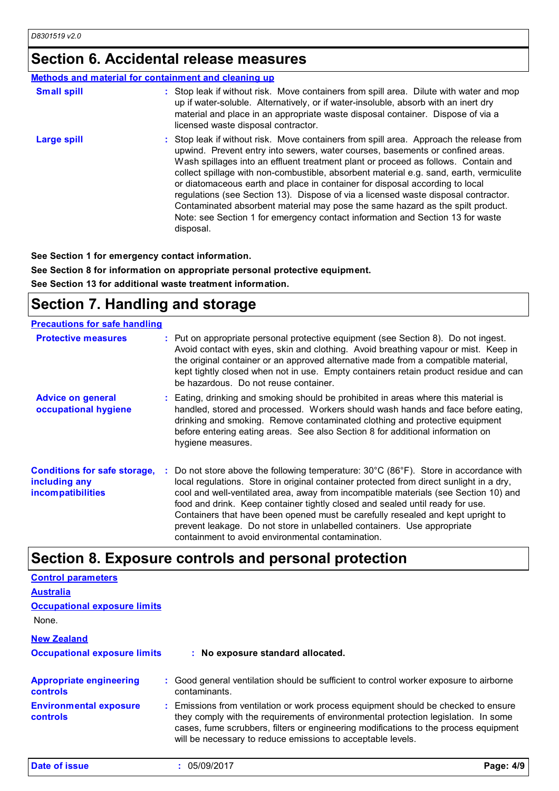### **Section 6. Accidental release measures**

#### **Methods and material for containment and cleaning up**

| <b>Small spill</b> | : Stop leak if without risk. Move containers from spill area. Dilute with water and mop<br>up if water-soluble. Alternatively, or if water-insoluble, absorb with an inert dry<br>material and place in an appropriate waste disposal container. Dispose of via a<br>licensed waste disposal contractor.                                                                                                                                                                                                                                                                                                                                                                                                          |
|--------------------|-------------------------------------------------------------------------------------------------------------------------------------------------------------------------------------------------------------------------------------------------------------------------------------------------------------------------------------------------------------------------------------------------------------------------------------------------------------------------------------------------------------------------------------------------------------------------------------------------------------------------------------------------------------------------------------------------------------------|
| <b>Large spill</b> | : Stop leak if without risk. Move containers from spill area. Approach the release from<br>upwind. Prevent entry into sewers, water courses, basements or confined areas.<br>Wash spillages into an effluent treatment plant or proceed as follows. Contain and<br>collect spillage with non-combustible, absorbent material e.g. sand, earth, vermiculite<br>or diatomaceous earth and place in container for disposal according to local<br>regulations (see Section 13). Dispose of via a licensed waste disposal contractor.<br>Contaminated absorbent material may pose the same hazard as the spilt product.<br>Note: see Section 1 for emergency contact information and Section 13 for waste<br>disposal. |

**See Section 1 for emergency contact information.**

**See Section 8 for information on appropriate personal protective equipment. See Section 13 for additional waste treatment information.**

### **Section 7. Handling and storage**

| <b>Precautions for safe handling</b>                                      |                                                                                                                                                                                                                                                                                                                                                                                                                                                                                                                                                                            |
|---------------------------------------------------------------------------|----------------------------------------------------------------------------------------------------------------------------------------------------------------------------------------------------------------------------------------------------------------------------------------------------------------------------------------------------------------------------------------------------------------------------------------------------------------------------------------------------------------------------------------------------------------------------|
| <b>Protective measures</b>                                                | : Put on appropriate personal protective equipment (see Section 8). Do not ingest.<br>Avoid contact with eyes, skin and clothing. Avoid breathing vapour or mist. Keep in<br>the original container or an approved alternative made from a compatible material,<br>kept tightly closed when not in use. Empty containers retain product residue and can<br>be hazardous. Do not reuse container.                                                                                                                                                                           |
| <b>Advice on general</b><br>occupational hygiene                          | : Eating, drinking and smoking should be prohibited in areas where this material is<br>handled, stored and processed. Workers should wash hands and face before eating,<br>drinking and smoking. Remove contaminated clothing and protective equipment<br>before entering eating areas. See also Section 8 for additional information on<br>hygiene measures.                                                                                                                                                                                                              |
| <b>Conditions for safe storage,</b><br>including any<br>incompatibilities | Do not store above the following temperature: 30°C (86°F). Store in accordance with<br>local regulations. Store in original container protected from direct sunlight in a dry,<br>cool and well-ventilated area, away from incompatible materials (see Section 10) and<br>food and drink. Keep container tightly closed and sealed until ready for use.<br>Containers that have been opened must be carefully resealed and kept upright to<br>prevent leakage. Do not store in unlabelled containers. Use appropriate<br>containment to avoid environmental contamination. |

### **Section 8. Exposure controls and personal protection**

| <b>Control parameters</b>                         |                                                                                                                                                                                                                                                                                                                                 |           |
|---------------------------------------------------|---------------------------------------------------------------------------------------------------------------------------------------------------------------------------------------------------------------------------------------------------------------------------------------------------------------------------------|-----------|
| <b>Australia</b>                                  |                                                                                                                                                                                                                                                                                                                                 |           |
| <b>Occupational exposure limits</b>               |                                                                                                                                                                                                                                                                                                                                 |           |
| None.                                             |                                                                                                                                                                                                                                                                                                                                 |           |
| <b>New Zealand</b>                                |                                                                                                                                                                                                                                                                                                                                 |           |
| <b>Occupational exposure limits</b>               | : No exposure standard allocated.                                                                                                                                                                                                                                                                                               |           |
| <b>Appropriate engineering</b><br><b>controls</b> | : Good general ventilation should be sufficient to control worker exposure to airborne<br>contaminants.                                                                                                                                                                                                                         |           |
| <b>Environmental exposure</b><br>controls         | : Emissions from ventilation or work process equipment should be checked to ensure<br>they comply with the requirements of environmental protection legislation. In some<br>cases, fume scrubbers, filters or engineering modifications to the process equipment<br>will be necessary to reduce emissions to acceptable levels. |           |
| Date of issue                                     | 05/09/2017<br>÷                                                                                                                                                                                                                                                                                                                 | Page: 4/9 |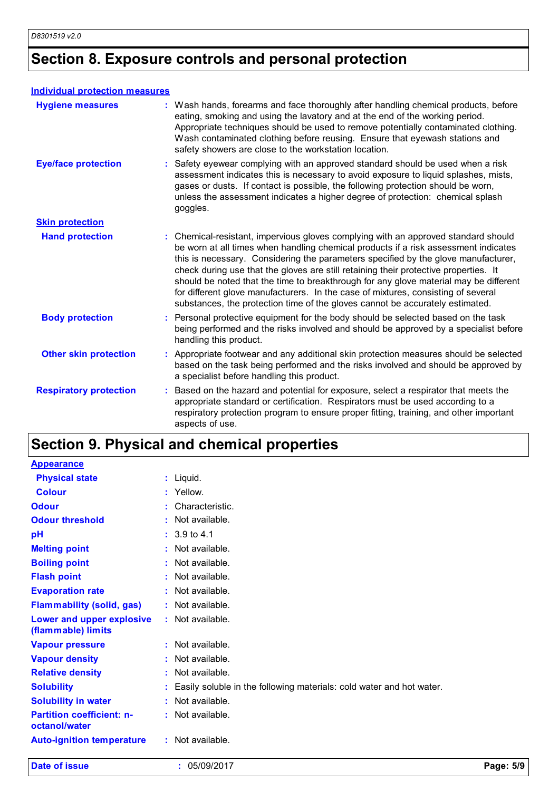## **Section 8. Exposure controls and personal protection**

#### **Individual protection measures**

| <b>Hygiene measures</b>       | : Wash hands, forearms and face thoroughly after handling chemical products, before<br>eating, smoking and using the lavatory and at the end of the working period.<br>Appropriate techniques should be used to remove potentially contaminated clothing.<br>Wash contaminated clothing before reusing. Ensure that eyewash stations and<br>safety showers are close to the workstation location.                                                                                                                                                                                                                      |
|-------------------------------|------------------------------------------------------------------------------------------------------------------------------------------------------------------------------------------------------------------------------------------------------------------------------------------------------------------------------------------------------------------------------------------------------------------------------------------------------------------------------------------------------------------------------------------------------------------------------------------------------------------------|
| <b>Eye/face protection</b>    | : Safety eyewear complying with an approved standard should be used when a risk<br>assessment indicates this is necessary to avoid exposure to liquid splashes, mists,<br>gases or dusts. If contact is possible, the following protection should be worn,<br>unless the assessment indicates a higher degree of protection: chemical splash<br>goggles.                                                                                                                                                                                                                                                               |
| <b>Skin protection</b>        |                                                                                                                                                                                                                                                                                                                                                                                                                                                                                                                                                                                                                        |
| <b>Hand protection</b>        | : Chemical-resistant, impervious gloves complying with an approved standard should<br>be worn at all times when handling chemical products if a risk assessment indicates<br>this is necessary. Considering the parameters specified by the glove manufacturer,<br>check during use that the gloves are still retaining their protective properties. It<br>should be noted that the time to breakthrough for any glove material may be different<br>for different glove manufacturers. In the case of mixtures, consisting of several<br>substances, the protection time of the gloves cannot be accurately estimated. |
| <b>Body protection</b>        | : Personal protective equipment for the body should be selected based on the task<br>being performed and the risks involved and should be approved by a specialist before<br>handling this product.                                                                                                                                                                                                                                                                                                                                                                                                                    |
| <b>Other skin protection</b>  | : Appropriate footwear and any additional skin protection measures should be selected<br>based on the task being performed and the risks involved and should be approved by<br>a specialist before handling this product.                                                                                                                                                                                                                                                                                                                                                                                              |
| <b>Respiratory protection</b> | Based on the hazard and potential for exposure, select a respirator that meets the<br>appropriate standard or certification. Respirators must be used according to a<br>respiratory protection program to ensure proper fitting, training, and other important<br>aspects of use.                                                                                                                                                                                                                                                                                                                                      |

# **Section 9. Physical and chemical properties**

| Date of issue                                     | : 05/09/2017                                                           | Page: 5/9 |
|---------------------------------------------------|------------------------------------------------------------------------|-----------|
| <b>Auto-ignition temperature</b>                  | : Not available.                                                       |           |
| <b>Partition coefficient: n-</b><br>octanol/water | : Not available.                                                       |           |
| <b>Solubility in water</b>                        | : Not available.                                                       |           |
| <b>Solubility</b>                                 | : Easily soluble in the following materials: cold water and hot water. |           |
| <b>Relative density</b>                           | Not available.                                                         |           |
| <b>Vapour density</b>                             | Not available.                                                         |           |
| <b>Vapour pressure</b>                            | : Not available.                                                       |           |
| Lower and upper explosive<br>(flammable) limits   | : Not available.                                                       |           |
| <b>Flammability (solid, gas)</b>                  | : Not available.                                                       |           |
| <b>Evaporation rate</b>                           | : Not available.                                                       |           |
| <b>Flash point</b>                                | : Not available.                                                       |           |
| <b>Boiling point</b>                              | : Not available.                                                       |           |
| <b>Melting point</b>                              | $:$ Not available.                                                     |           |
| pH                                                | $: 3.9 \text{ to } 4.1$                                                |           |
| <b>Odour threshold</b>                            | : Not available.                                                       |           |
| <b>Odour</b>                                      | Characteristic.                                                        |           |
| <b>Colour</b>                                     | : Yellow.                                                              |           |
| <b>Physical state</b>                             | : Liquid.                                                              |           |
| <b>Appearance</b>                                 |                                                                        |           |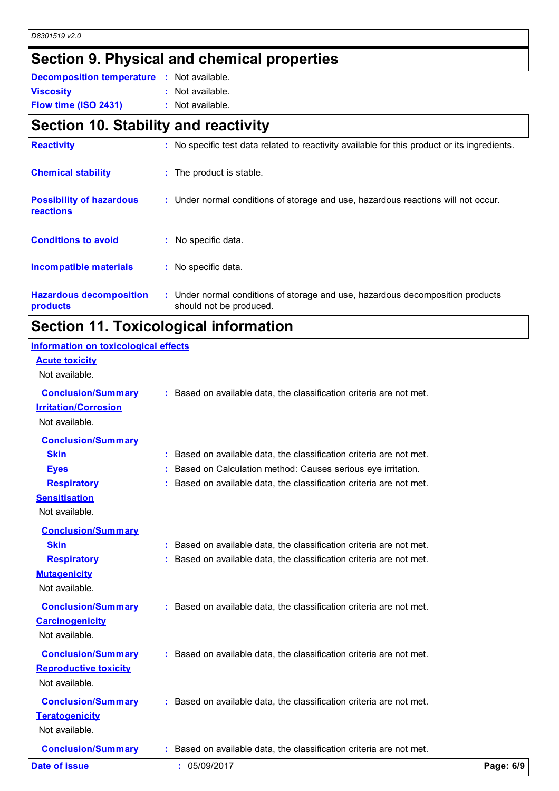### **Section 9. Physical and chemical properties**

| <b>Decomposition temperature :</b> Not available. |                  |
|---------------------------------------------------|------------------|
| <b>Viscosity</b>                                  | : Not available. |
| Flow time (ISO 2431)                              | : Not available. |

### **Section 10. Stability and reactivity**

| <b>Reactivity</b>                                   | : No specific test data related to reactivity available for this product or its ingredients.              |
|-----------------------------------------------------|-----------------------------------------------------------------------------------------------------------|
| <b>Chemical stability</b>                           | : The product is stable.                                                                                  |
| <b>Possibility of hazardous</b><br><b>reactions</b> | : Under normal conditions of storage and use, hazardous reactions will not occur.                         |
| <b>Conditions to avoid</b>                          | : No specific data.                                                                                       |
| Incompatible materials                              | : No specific data.                                                                                       |
| <b>Hazardous decomposition</b><br>products          | : Under normal conditions of storage and use, hazardous decomposition products<br>should not be produced. |
|                                                     |                                                                                                           |

### **Section 11. Toxicological information**

#### **Acute toxicity** Not available. **Conclusion/Summary :** Based on available data, the classification criteria are not met. **Carcinogenicity** Not available. **Conclusion/Summary :** Based on available data, the classification criteria are not met. **Mutagenicity** Not available. **Conclusion/Summary :** Based on available data, the classification criteria are not met. **Teratogenicity** Not available. **Conclusion/Summary :** Based on available data, the classification criteria are not met. **Reproductive toxicity Conclusion/Summary :** Based on available data, the classification criteria are not met. Not available. **Irritation/Corrosion** Not available. **Conclusion/Summary Skin Example 20 :** Based on available data, the classification criteria are not met. **Eyes Exercise 1 Exercise 1 Exercise 2 :** Based on Calculation method: Causes serious eve irritation. **Respiratory :** Based on available data, the classification criteria are not met. **Sensitisation** Not available. **Conclusion/Summary Skin Example 20 :** Based on available data, the classification criteria are not met. **Respiratory :** Based on available data, the classification criteria are not met. **Information on toxicological effects Date of issue :** 05/09/2017 **Page: 6/9**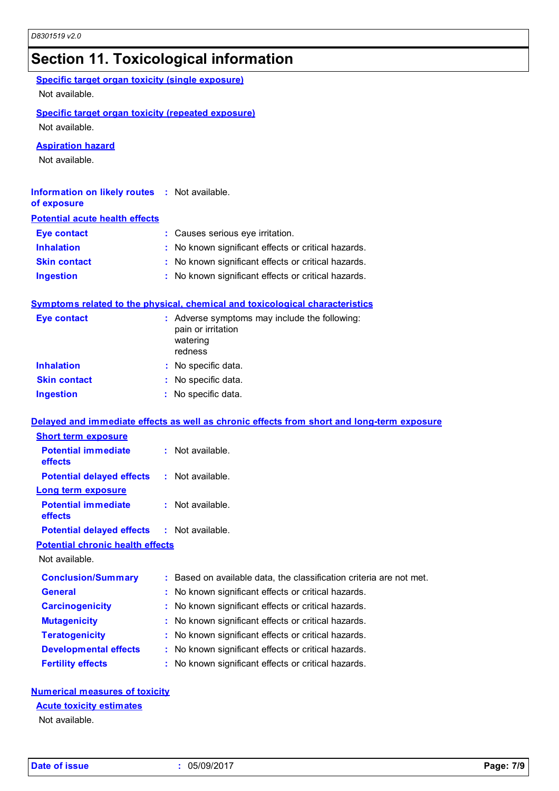# **Section 11. Toxicological information**

| <b>Specific target organ toxicity (single exposure)</b><br>Not available.   |                                                                                            |
|-----------------------------------------------------------------------------|--------------------------------------------------------------------------------------------|
| <b>Specific target organ toxicity (repeated exposure)</b><br>Not available. |                                                                                            |
| <b>Aspiration hazard</b><br>Not available.                                  |                                                                                            |
| <b>Information on likely routes : Not available.</b><br>of exposure         |                                                                                            |
| <b>Potential acute health effects</b>                                       |                                                                                            |
| <b>Eye contact</b>                                                          | : Causes serious eye irritation.                                                           |
| <b>Inhalation</b>                                                           | : No known significant effects or critical hazards.                                        |
| <b>Skin contact</b>                                                         | : No known significant effects or critical hazards.                                        |
| <b>Ingestion</b>                                                            | : No known significant effects or critical hazards.                                        |
|                                                                             | <b>Symptoms related to the physical, chemical and toxicological characteristics</b>        |
| <b>Eye contact</b>                                                          | : Adverse symptoms may include the following:<br>pain or irritation<br>watering<br>redness |
| <b>Inhalation</b>                                                           | : No specific data.                                                                        |
| <b>Skin contact</b>                                                         | : No specific data.                                                                        |
| <b>Ingestion</b>                                                            | : No specific data.                                                                        |
|                                                                             | Delayed and immediate effects as well as chronic effects from short and long-term exposure |
| <b>Short term exposure</b>                                                  |                                                                                            |
| <b>Potential immediate</b><br>effects                                       | : Not available.                                                                           |
| <b>Potential delayed effects : Not available.</b>                           |                                                                                            |
| <b>Long term exposure</b><br><b>Potential immediate</b><br>effects          | Not available.                                                                             |
| <b>Potential delayed effects</b>                                            | Not available.                                                                             |
| <b>Potential chronic health effects</b>                                     |                                                                                            |
| Not available.                                                              |                                                                                            |
| <b>Conclusion/Summary</b>                                                   | Based on available data, the classification criteria are not met.                          |
| <b>General</b>                                                              | No known significant effects or critical hazards.                                          |
| <b>Carcinogenicity</b>                                                      | No known significant effects or critical hazards.                                          |
| <b>Mutagenicity</b>                                                         | No known significant effects or critical hazards.                                          |
| <b>Teratogenicity</b>                                                       | No known significant effects or critical hazards.                                          |
| <b>Developmental effects</b>                                                | No known significant effects or critical hazards.                                          |
| <b>Fertility effects</b>                                                    | : No known significant effects or critical hazards.                                        |

#### **Numerical measures of toxicity**

## **Acute toxicity estimates**

Not available.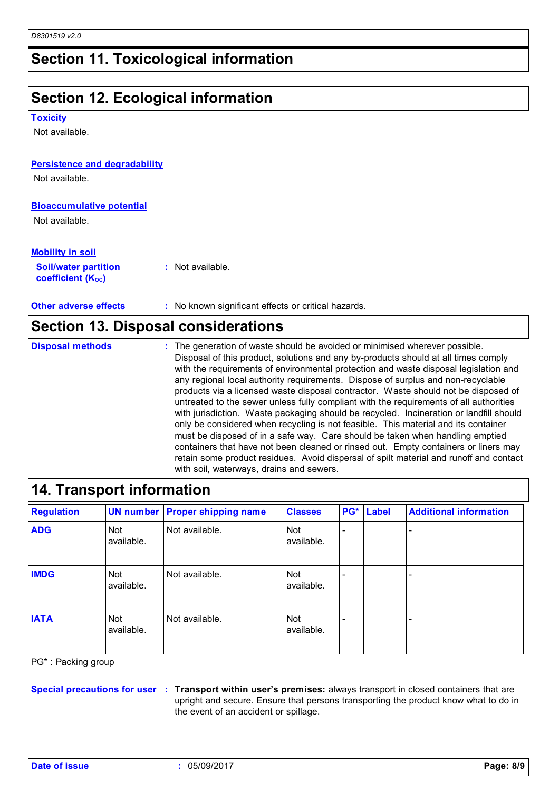## **Section 11. Toxicological information**

## **Section 12. Ecological information**

**Toxicity**

Not available.

#### **Persistence and degradability**

Not available.

#### **Bioaccumulative potential**

Not available.

#### **Mobility in soil**

| <b>Soil/water partition</b>    | $:$ Not available. |
|--------------------------------|--------------------|
| coefficient (K <sub>oc</sub> ) |                    |

**Other adverse effects** : No known significant effects or critical hazards.

#### **Section 13. Disposal considerations**

**Disposal methods :**

The generation of waste should be avoided or minimised wherever possible. Disposal of this product, solutions and any by-products should at all times comply with the requirements of environmental protection and waste disposal legislation and any regional local authority requirements. Dispose of surplus and non-recyclable products via a licensed waste disposal contractor. Waste should not be disposed of untreated to the sewer unless fully compliant with the requirements of all authorities with jurisdiction. Waste packaging should be recycled. Incineration or landfill should only be considered when recycling is not feasible. This material and its container must be disposed of in a safe way. Care should be taken when handling emptied containers that have not been cleaned or rinsed out. Empty containers or liners may retain some product residues. Avoid dispersal of spilt material and runoff and contact with soil, waterways, drains and sewers.

### **14. Transport information**

| <b>Regulation</b> |                   | <b>UN number Proper shipping name</b> | <b>Classes</b>           | PG*                      | Label | <b>Additional information</b> |
|-------------------|-------------------|---------------------------------------|--------------------------|--------------------------|-------|-------------------------------|
| <b>ADG</b>        | Not<br>available. | Not available.                        | <b>Not</b><br>available. | $\overline{\phantom{0}}$ |       | ۰                             |
| <b>IMDG</b>       | Not<br>available. | Not available.                        | <b>Not</b><br>available. | $\overline{\phantom{0}}$ |       | $\overline{\phantom{0}}$      |
| <b>IATA</b>       | Not<br>available. | Not available.                        | Not<br>available.        | $\overline{\phantom{0}}$ |       | $\overline{\phantom{0}}$      |

PG\* : Packing group

**Special precautions for user Transport within user's premises:** always transport in closed containers that are **:** upright and secure. Ensure that persons transporting the product know what to do in the event of an accident or spillage.